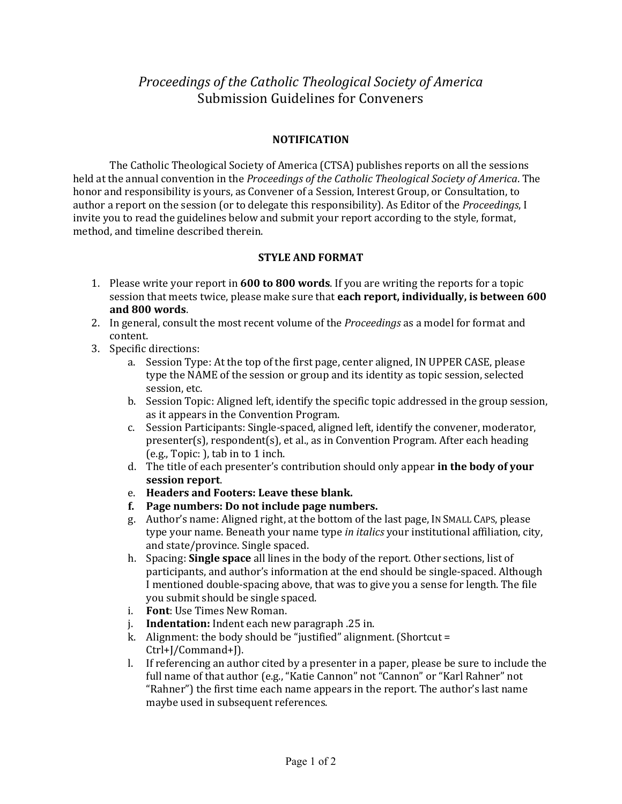*Proceedings of the Catholic Theological Society of America* Submission Guidelines for Conveners

## **NOTIFICATION**

The Catholic Theological Society of America (CTSA) publishes reports on all the sessions held at the annual convention in the *Proceedings of the Catholic Theological Society of America*. The honor and responsibility is yours, as Convener of a Session, Interest Group, or Consultation, to author a report on the session (or to delegate this responsibility). As Editor of the *Proceedings*, I invite you to read the guidelines below and submit your report according to the style, format, method, and timeline described therein.

## **STYLE AND FORMAT**

- 1. Please write your report in **600 to 800 words**. If you are writing the reports for a topic session that meets twice, please make sure that **each report, individually, is between 600 and 800 words**.
- 2. In general, consult the most recent volume of the *Proceedings* as a model for format and content.
- 3. Specific directions:
	- a. Session Type: At the top of the first page, center aligned, IN UPPER CASE, please type the NAME of the session or group and its identity as topic session, selected session, etc.
	- b. Session Topic: Aligned left, identify the specific topic addressed in the group session, as it appears in the Convention Program.
	- c. Session Participants: Single-spaced, aligned left, identify the convener, moderator, presenter(s), respondent(s), et al., as in Convention Program. After each heading (e.g., Topic: ), tab in to 1 inch.
	- d. The title of each presenter's contribution should only appear **in the body of your session report**.
	- e. **Headers and Footers: Leave these blank.**
	- **f. Page numbers: Do not include page numbers.**
	- g. Author's name: Aligned right, at the bottom of the last page, IN SMALL CAPS, please type your name. Beneath your name type *in italics* your institutional affiliation, city, and state/province. Single spaced.
	- h. Spacing: **Single space** all lines in the body of the report. Other sections, list of participants, and author's information at the end should be single-spaced. Although I mentioned double-spacing above, that was to give you a sense for length. The file you submit should be single spaced.
	- i. **Font**: Use Times New Roman.
	- j. **Indentation:** Indent each new paragraph .25 in.
	- k. Alignment: the body should be "justified" alignment. (Shortcut = Ctrl+J/Command+J).
	- l. If referencing an author cited by a presenter in a paper, please be sure to include the full name of that author (e.g., "Katie Cannon" not "Cannon" or "Karl Rahner" not "Rahner") the first time each name appears in the report. The author's last name maybe used in subsequent references.